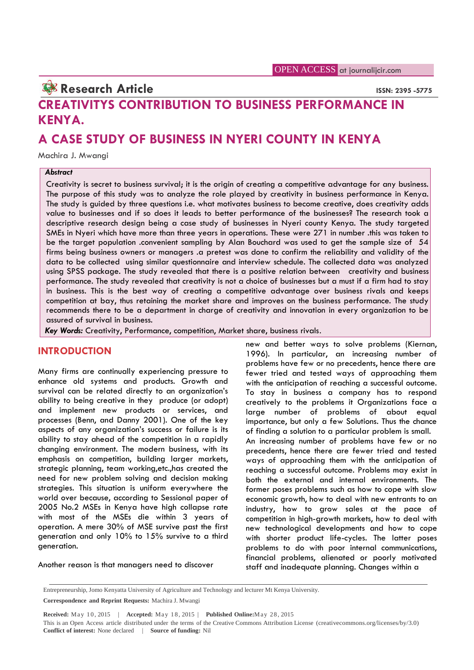# **Research Article ISSN: 2395 -5775**

# **CREATIVITYS CONTRIBUTION TO BUSINESS PERFORMANCE IN KENYA.**

# **A CASE STUDY OF BUSINESS IN NYERI COUNTY IN KENYA**

Machira J. Mwangi

#### *Abstract*

Creativity is secret to business survival; it is the origin of creating a competitive advantage for any business. The purpose of this study was to analyze the role played by creativity in business performance in Kenya. The study is guided by three questions i.e. what motivates business to become creative, does creativity adds value to businesses and if so does it leads to better performance of the businesses? The research took a descriptive research design being a case study of businesses in Nyeri county Kenya. The study targeted SMEs in Nyeri which have more than three years in operations. These were 271 in number .this was taken to be the target population .convenient sampling by Alan Bouchard was used to get the sample size of 54 firms being business owners or managers .a pretest was done to confirm the reliability and validity of the data to be collected using similar questionnaire and interview schedule. The collected data was analyzed using SPSS package. The study revealed that there is a positive relation between creativity and business performance. The study revealed that creativity is not a choice of businesses but a must if a firm had to stay in business. This is the best way of creating a competitive advantage over business rivals and keeps competition at bay, thus retaining the market share and improves on the business performance. The study recommends there to be a department in charge of creativity and innovation in every organization to be assured of survival in business.

*Key Words:* Creativity, Performance, competition, Market share, business rivals.

#### **INTRODUCTION**

Many firms are continually experiencing pressure to enhance old systems and products. Growth and survival can be related directly to an organization's ability to being creative in they produce (or adopt) and implement new products or services, and processes (Benn, and Danny 2001). One of the key aspects of any organization's success or failure is its ability to stay ahead of the competition in a rapidly changing environment. The modern business, with its emphasis on competition, building larger markets, strategic planning, team working,etc.,has created the need for new problem solving and decision making strategies. This situation is uniform everywhere the world over because, according to Sessional paper of 2005 No.2 MSEs in Kenya have high collapse rate with most of the MSEs die within 3 years of operation. A mere 30% of MSE survive past the first generation and only 10% to 15% survive to a third generation.

Another reason is that managers need to discover

new and better ways to solve problems (Kiernan, 1996). In particular, an increasing number of problems have few or no precedents, hence there are fewer tried and tested ways of approaching them with the anticipation of reaching a successful outcome. To stay in business a company has to respond creatively to the problems it Organizations face a large number of problems of about equal importance, but only a few Solutions. Thus the chance of finding a solution to a particular problem is small. An increasing number of problems have few or no precedents, hence there are fewer tried and tested ways of approaching them with the anticipation of reaching a successful outcome. Problems may exist in both the external and internal environments. The former poses problems such as how to cope with slow economic growth, how to deal with new entrants to an industry, how to grow sales at the pace of competition in high-growth markets, how to deal with new technological developments and how to cope with shorter product life-cycles. The latter poses problems to do with poor internal communications, financial problems, alienated or poorly motivated staff and inadequate planning. Changes within a

Entrepreneurship, Jomo Kenyatta University of Agriculture and Technology and lecturer Mt Kenya University.

**Correspondence and Reprint Requests:** Machira J. Mwangi

Entrepreneurship, Jomo Kenyatta University of Agriculture and Technology and lecturer Mt Kenya University.<br> **Correspondence and Reprint Requests:** Machira J. Mwangi<br> **Received:** May 10, 2015 | Accepted: May 18, 2015 | Publ **Conflict of interest:** None declared | **Source of funding:** Nil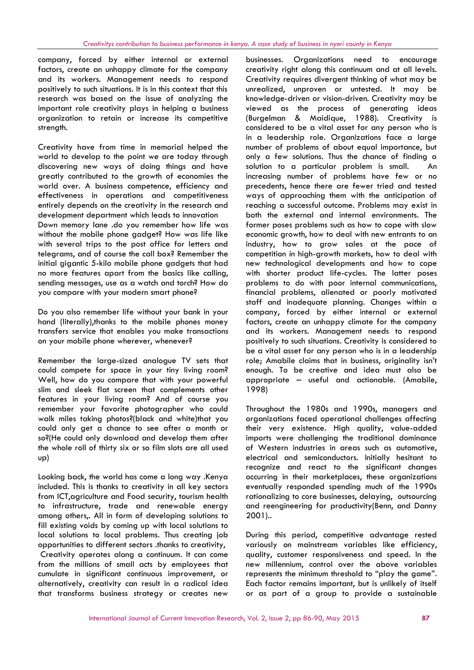company, forced by either internal or external factors, create an unhappy climate for the company and its workers. Management needs to respond positively to such situations. It is in this context that this research was based on the issue of analyzing the important role creativity plays in helping a business organization to retain or increase its competitive strength.

Creativity have from time in memorial helped the world to develop to the point we are today through discovering new ways of doing things and have greatly contributed to the growth of economies the world over. A business competence, efficiency and effectiveness in operations and competitiveness entirely depends on the creativity in the research and development department which leads to innovation Down memory lane .do you remember how life was without the mobile phone gadget? How was life like with several trips to the post office for letters and telegrams, and of course the call box? Remember the initial gigantic 5-kilo mobile phone gadgets that had no more features apart from the basics like calling, sending messages, use as a watch and torch? How do you compare with your modern smart phone?

Do you also remember life without your bank in your hand (literally),thanks to the mobile phones money transfers service that enables you make transactions on your mobile phone wherever, whenever?

Remember the large-sized analogue TV sets that could compete for space in your tiny living room? Well, how do you compare that with your powerful slim and sleek flat screen that complements other features in your living room? And of course you remember your favorite photographer who could walk miles taking photos?(black and white)that you could only get a chance to see after a month or so?(He could only download and develop them after the whole roll of thirty six or so film slots are all used up)

Looking back, the world has come a long way .Kenya included. This is thanks to creativity in all key sectors from ICT,agriculture and Food security, tourism health to infrastructure, trade and renewable energy among others,. All in form of developing solutions to fill existing voids by coming up with local solutions to local solutions to local problems. Thus creating job opportunities to different sectors .thanks to creativity, Creativity operates along a continuum. It can come from the millions of small acts by employees that cumulate in significant continuous improvement, or alternatively, creativity can result in a radical idea that transforms business strategy or creates new

businesses. Organizations need to encourage creativity right along this continuum and at all levels. Creativity requires divergent thinking of what may be unrealized, unproven or untested. It may be knowledge-driven or vision-driven. Creativity may be viewed as the process of generating ideas (Burgelman & Maidique, 1988). Creativity is considered to be a vital asset for any person who is in a leadership role. Organizations face a large number of problems of about equal importance, but only a few solutions. Thus the chance of finding a solution to a particular problem is small. An increasing number of problems have few or no precedents, hence there are fewer tried and tested ways of approaching them with the anticipation of reaching a successful outcome. Problems may exist in both the external and internal environments. The former poses problems such as how to cope with slow economic growth, how to deal with new entrants to an industry, how to grow sales at the pace of competition in high-growth markets, how to deal with new technological developments and how to cope with shorter product life-cycles. The latter poses problems to do with poor internal communications, financial problems, alienated or poorly motivated staff and inadequate planning. Changes within a company, forced by either internal or external factors, create an unhappy climate for the company and its workers. Management needs to respond positively to such situations. Creativity is considered to be a vital asset for any person who is in a leadership role; Amabile claims that in business, originality isn't enough. To be creative and idea must also be appropriate – useful and actionable. (Amabile, 1998)

Throughout the 1980s and 1990s, managers and organizations faced operational challenges affecting their very existence. High quality, value-added imports were challenging the traditional dominance of Western industries in areas such as automotive, electrical and semiconductors. Initially hesitant to recognize and react to the significant changes occurring in their marketplaces, these organizations eventually responded spending much of the 1990s rationalizing to core businesses, delaying, outsourcing and reengineering for productivity(Benn, and Danny 2001)..

During this period, competitive advantage rested variously on mainstream variables like efficiency, quality, customer responsiveness and speed. In the new millennium, control over the above variables represents the minimum threshold to "play the game". Each factor remains important, but is unlikely of itself or as part of a group to provide a sustainable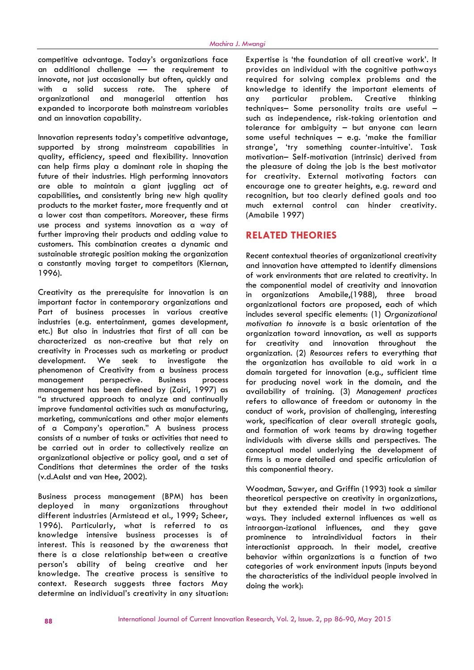competitive advantage. Today's organizations face an additional challenge — the requirement to innovate, not just occasionally but often, quickly and with a solid success rate. The sphere of organizational and managerial attention has expanded to incorporate both mainstream variables and an innovation capability.

Innovation represents today's competitive advantage, supported by strong mainstream capabilities in quality, efficiency, speed and flexibility. Innovation can help firms play a dominant role in shaping the future of their industries. High performing innovators are able to maintain a giant juggling act of capabilities, and consistently bring new high quality products to the market faster, more frequently and at a lower cost than competitors. Moreover, these firms use process and systems innovation as a way of further improving their products and adding value to customers. This combination creates a dynamic and sustainable strategic position making the organization a constantly moving target to competitors (Kiernan, 1996).

Creativity as the prerequisite for innovation is an important factor in contemporary organizations and Part of business processes in various creative industries (e.g. entertainment, games development, etc.) But also in industries that first of all can be characterized as non-creative but that rely on creativity in Processes such as marketing or product development. We seek to investigate the phenomenon of Creativity from a business process management perspective. Business process management has been defined by (Zairi, 1997) as "a structured approach to analyze and continually improve fundamental activities such as manufacturing, marketing, communications and other major elements of a Company's operation." A business process consists of a number of tasks or activities that need to be carried out in order to collectively realize an organizational objective or policy goal, and a set of Conditions that determines the order of the tasks (v.d.Aalst and van Hee, 2002).

Business process management (BPM) has been deployed in many organizations throughout different industries (Armistead et al., 1999; Scheer, 1996). Particularly, what is referred to as knowledge intensive business processes is of interest. This is reasoned by the awareness that there is a close relationship between a creative person's ability of being creative and her knowledge. The creative process is sensitive to context. Research suggests three factors May determine an individual's creativity in any situation: Expertise is 'the foundation of all creative work'. It provides an individual with the cognitive pathways required for solving complex problems and the knowledge to identify the important elements of particular problem. Creative thinking techniques– Some personality traits are useful – such as independence, risk-taking orientation and tolerance for ambiguity – but anyone can learn some useful techniques – e.g. 'make the familiar strange', 'try something counter-intuitive'. Task motivation– Self-motivation (intrinsic) derived from the pleasure of doing the job is the best motivator for creativity. External motivating factors can encourage one to greater heights, e.g. reward and recognition, but too clearly defined goals and too much external control can hinder creativity. (Amabile 1997)

### **RELATED THEORIES**

Recent contextual theories of organizational creativity and innovation have attempted to identify dimensions of work environments that are related to creativity. In the componential model of creativity and innovation in organizations Amabile,(1988), three broad organizational factors are proposed, each of which includes several specific elements: (1) *Organizational motivation to innovate* is a basic orientation of the organization toward innovation, as well as supports for creativity and innovation throughout the organization. (2) *Resources* refers to everything that the organization has available to aid work in a domain targeted for innovation (e.g., sufficient time for producing novel work in the domain, and the availability of training. (3) *Management practices* refers to allowance of freedom or autonomy in the conduct of work, provision of challenging, interesting work, specification of clear overall strategic goals, and formation of work teams by drawing together individuals with diverse skills and perspectives. The conceptual model underlying the development of firms is a more detailed and specific articulation of this componential theory.

Woodman, Sawyer, and Griffin (1993) took a similar theoretical perspective on creativity in organizations, but they extended their model in two additional ways. They included external influences as well as intraorgan-izational influences, and they gave prominence to intraindividual factors in their interactionist approach. In their model, creative behavior within organizations is a function of two categories of work environment inputs (inputs beyond the characteristics of the individual people involved in doing the work):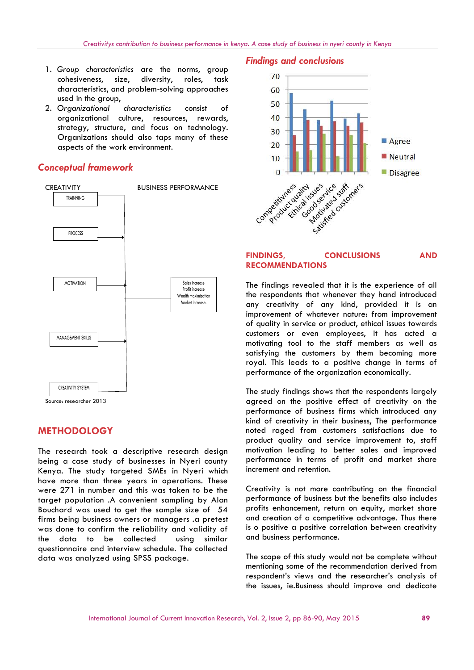- 1. *Group characteristics* are the norms, group cohesiveness, size, diversity, roles, task characteristics, and problem-solving approaches used in the group,
- 2. *Organizational characteristics* consist of organizational culture, resources, rewards, strategy, structure, and focus on technology. Organizations should also taps many of these aspects of the work environment.

### *Conceptual framework*



# **METHODOLOGY**

The research took a descriptive research design being a case study of businesses in Nyeri county Kenya. The study targeted SMEs in Nyeri which have more than three years in operations. These were 271 in number and this was taken to be the target population .A convenient sampling by Alan Bouchard was used to get the sample size of 54 firms being business owners or managers .a pretest was done to confirm the reliability and validity of the data to be collected using similar questionnaire and interview schedule. The collected data was analyzed using SPSS package.

## *Findings and conclusions*



#### **FINDINGS, CONCLUSIONS AND RECOMMENDATIONS**

The findings revealed that it is the experience of all the respondents that whenever they hand introduced any creativity of any kind, provided it is an improvement of whatever nature: from improvement of quality in service or product, ethical issues towards customers or even employees, it has acted a motivating tool to the staff members as well as satisfying the customers by them becoming more royal. This leads to a positive change in terms of performance of the organization economically.

The study findings shows that the respondents largely agreed on the positive effect of creativity on the performance of business firms which introduced any kind of creativity in their business, The performance noted raged from customers satisfactions due to product quality and service improvement to, staff motivation leading to better sales and improved performance in terms of profit and market share increment and retention.

Creativity is not more contributing on the financial performance of business but the benefits also includes profits enhancement, return on equity, market share and creation of a competitive advantage. Thus there is o positive a positive correlation between creativity and business performance.

The scope of this study would not be complete without mentioning some of the recommendation derived from respondent's views and the researcher's analysis of the issues, ie.Business should improve and dedicate